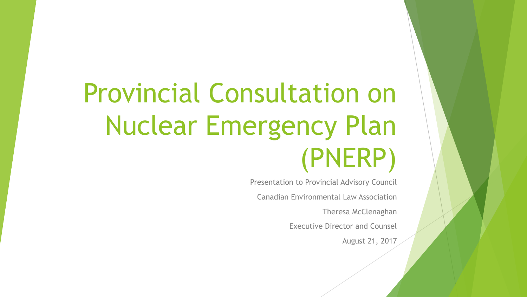# Provincial Consultation on Nuclear Emergency Plan (PNERP)

Presentation to Provincial Advisory Council Canadian Environmental Law Association Theresa McClenaghan Executive Director and Counsel August 21, 2017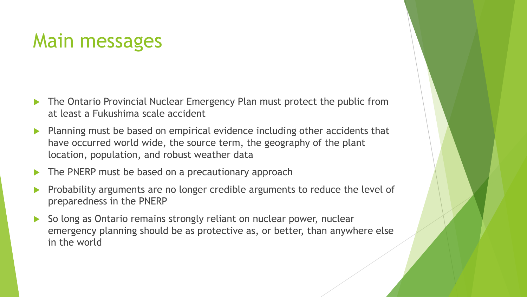#### Main messages

- The Ontario Provincial Nuclear Emergency Plan must protect the public from at least a Fukushima scale accident
- $\blacktriangleright$  Planning must be based on empirical evidence including other accidents that have occurred world wide, the source term, the geography of the plant location, population, and robust weather data
- The PNERP must be based on a precautionary approach
- Probability arguments are no longer credible arguments to reduce the level of preparedness in the PNERP
- So long as Ontario remains strongly reliant on nuclear power, nuclear emergency planning should be as protective as, or better, than anywhere else in the world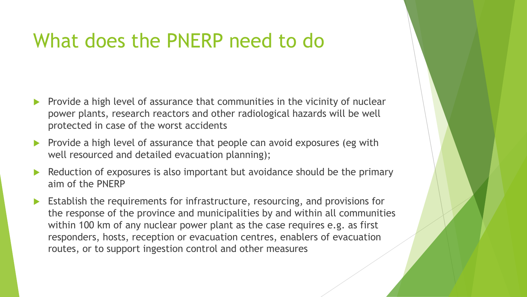#### What does the PNERP need to do

- Provide a high level of assurance that communities in the vicinity of nuclear power plants, research reactors and other radiological hazards will be well protected in case of the worst accidents
- Provide a high level of assurance that people can avoid exposures (eg with well resourced and detailed evacuation planning);
- Reduction of exposures is also important but avoidance should be the primary aim of the PNERP
- Establish the requirements for infrastructure, resourcing, and provisions for the response of the province and municipalities by and within all communities within 100 km of any nuclear power plant as the case requires e.g. as first responders, hosts, reception or evacuation centres, enablers of evacuation routes, or to support ingestion control and other measures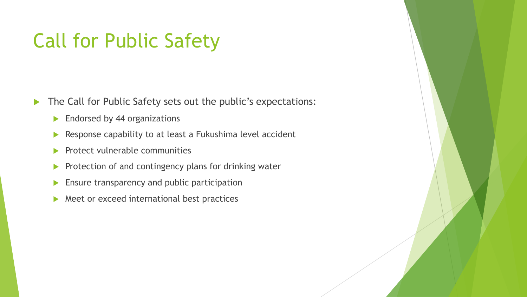#### Call for Public Safety

The Call for Public Safety sets out the public's expectations:

- **Endorsed by 44 organizations**
- $\blacktriangleright$  Response capability to at least a Fukushima level accident
- $\blacktriangleright$  Protect vulnerable communities
- $\blacktriangleright$  Protection of and contingency plans for drinking water
- **Ensure transparency and public participation**
- $\blacktriangleright$  Meet or exceed international best practices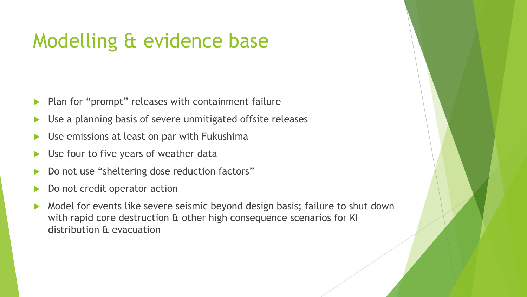# Modelling & evidence base

- $\blacktriangleright$  Plan for "prompt" releases with containment failure
- Use a planning basis of severe unmitigated offsite releases
- Use emissions at least on par with Fukushima
- Use four to five years of weather data
- Do not use "sheltering dose reduction factors"
- Do not credit operator action
- Model for events like severe seismic beyond design basis; failure to shut down with rapid core destruction & other high consequence scenarios for KI distribution & evacuation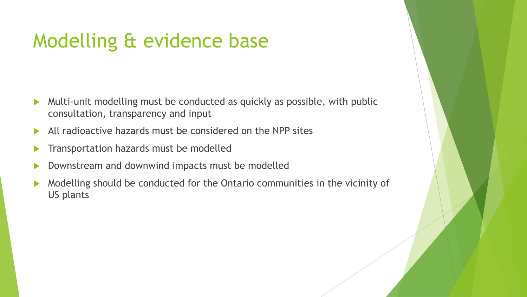# Modelling & evidence base

- Multi-unit modelling must be conducted as quickly as possible, with public consultation, transparency and input
- All radioactive hazards must be considered on the NPP sites
- Transportation hazards must be modelled
- Downstream and downwind impacts must be modelled
- Modelling should be conducted for the Ontario communities in the vicinity of US plants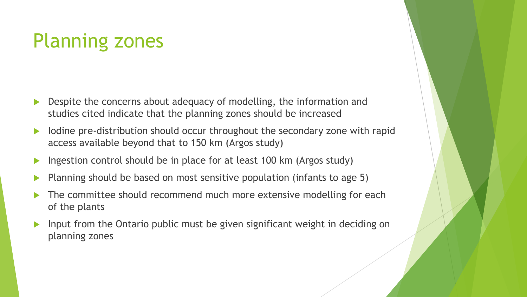# Planning zones

- Despite the concerns about adequacy of modelling, the information and studies cited indicate that the planning zones should be increased
- Iodine pre-distribution should occur throughout the secondary zone with rapid access available beyond that to 150 km (Argos study)
- Ingestion control should be in place for at least 100 km (Argos study)
- Planning should be based on most sensitive population (infants to age 5)
- The committee should recommend much more extensive modelling for each of the plants
- Input from the Ontario public must be given significant weight in deciding on planning zones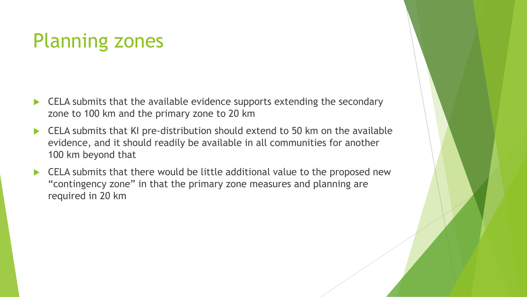# Planning zones

- CELA submits that the available evidence supports extending the secondary zone to 100 km and the primary zone to 20 km
- ▶ CELA submits that KI pre-distribution should extend to 50 km on the available evidence, and it should readily be available in all communities for another 100 km beyond that
- CELA submits that there would be little additional value to the proposed new "contingency zone" in that the primary zone measures and planning are required in 20 km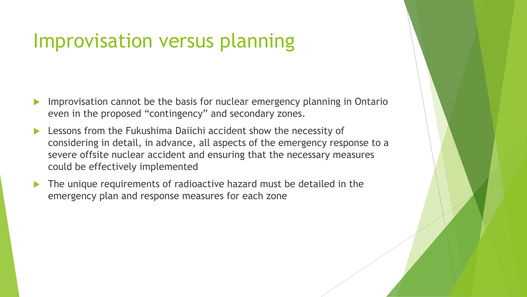#### Improvisation versus planning

- Improvisation cannot be the basis for nuclear emergency planning in Ontario even in the proposed "contingency" and secondary zones.
- Lessons from the Fukushima Daiichi accident show the necessity of considering in detail, in advance, all aspects of the emergency response to a severe offsite nuclear accident and ensuring that the necessary measures could be effectively implemented
- The unique requirements of radioactive hazard must be detailed in the emergency plan and response measures for each zone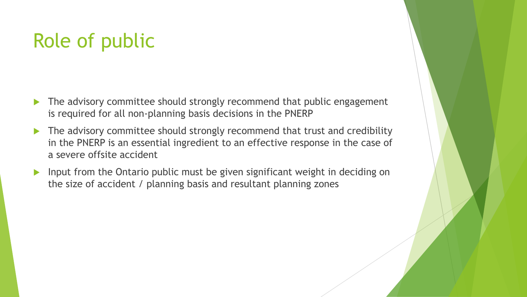# Role of public

- The advisory committee should strongly recommend that public engagement is required for all non-planning basis decisions in the PNERP
- The advisory committee should strongly recommend that trust and credibility in the PNERP is an essential ingredient to an effective response in the case of a severe offsite accident
- Input from the Ontario public must be given significant weight in deciding on the size of accident / planning basis and resultant planning zones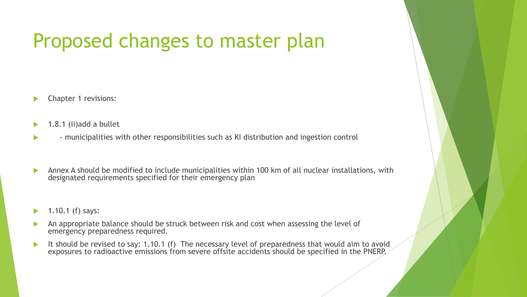#### Proposed changes to master plan

- Chapter 1 revisions:
- 1.8.1 (ii)add a bullet
- municipalities with other responsibilities such as KI distribution and ingestion control
- Annex A should be modified to include municipalities within 100 km of all nuclear installations, with designated requirements specified for their emergency plan
- 1.10.1 (f) says:
- An appropriate balance should be struck between risk and cost when assessing the level of emergency preparedness required.
- It should be revised to say: 1.10.1 (f) The necessary level of preparedness that would aim to avoid exposures to radioactive emissions from severe offsite accidents should be specified in the PNERP.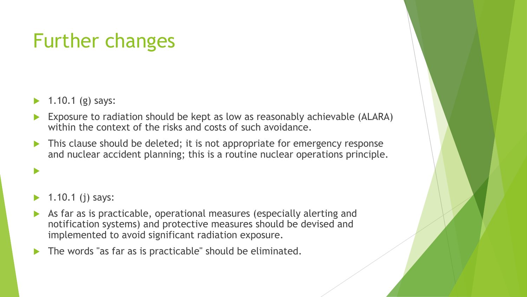# Further changes

- 1.10.1 (g) says:
- Exposure to radiation should be kept as low as reasonably achievable (ALARA) within the context of the risks and costs of such avoidance.
- This clause should be deleted; it is not appropriate for emergency response and nuclear accident planning; this is a routine nuclear operations principle.

#### 1.10.1 (j) says:

 $\blacktriangleright$ 

- As far as is practicable, operational measures (especially alerting and notification systems) and protective measures should be devised and implemented to avoid significant radiation exposure.
- The words "as far as is practicable" should be eliminated.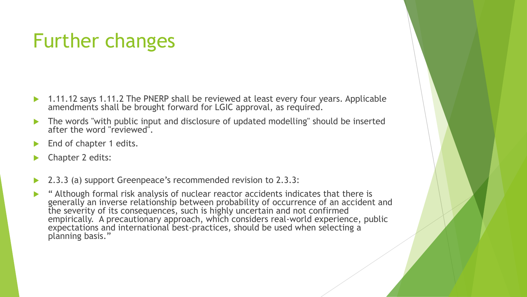# Further changes

- ▶ 1.11.12 says 1.11.2 The PNERP shall be reviewed at least every four years. Applicable amendments shall be brought forward for LGIC approval, as required.
- The words "with public input and disclosure of updated modelling" should be inserted after the word "reviewed".
- End of chapter 1 edits.
- Chapter 2 edits:
- 2.3.3 (a) support Greenpeace's recommended revision to 2.3.3:
- "Although formal risk analysis of nuclear reactor accidents indicates that there is generally an inverse relationship between probability of occurrence of an accident and the severity of its consequences, such is highly uncertain and not confirmed empirically. A precautionary approach, which considers real-world experience, public expectations and international best-practices, should be used when selecting a planning basis."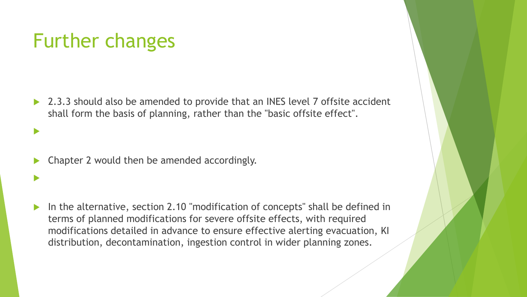### Further changes

 $\blacktriangleright$ 

 $\blacktriangleright$ 

 2.3.3 should also be amended to provide that an INES level 7 offsite accident shall form the basis of planning, rather than the "basic offsite effect".

Chapter 2 would then be amended accordingly.

 In the alternative, section 2.10 "modification of concepts" shall be defined in terms of planned modifications for severe offsite effects, with required modifications detailed in advance to ensure effective alerting evacuation, KI distribution, decontamination, ingestion control in wider planning zones.